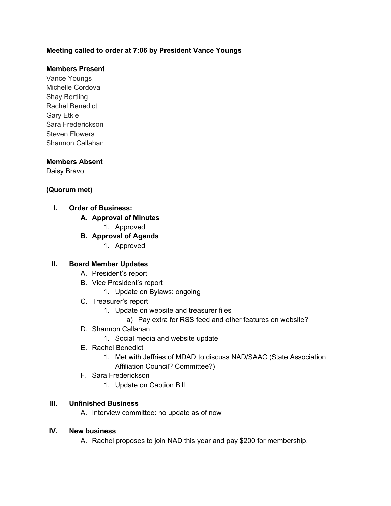## **Meeting called to order at 7:06 by President Vance Youngs**

## **Members Present**

Vance Youngs Michelle Cordova Shay Bertling Rachel Benedict Gary Etkie Sara Frederickson Steven Flowers Shannon Callahan

#### **Members Absent**

Daisy Bravo

## **(Quorum met)**

- **I. Order of Business:** 
	- **A. Approval of Minutes**
		- 1. Approved
	- **B. Approval of Agenda**
		- 1. Approved

#### **II. Board Member Updates**

- A. President's report
- B. Vice President's report
	- 1. Update on Bylaws: ongoing
- C. Treasurer's report
	- 1. Update on website and treasurer files
		- a) Pay extra for RSS feed and other features on website?
- D. Shannon Callahan
	- 1. Social media and website update
- E. Rachel Benedict
	- 1. Met with Jeffries of MDAD to discuss NAD/SAAC (State Association Affiliation Council? Committee?)
- F. Sara Frederickson
	- 1. Update on Caption Bill

#### **III. Unfinished Business**

A. Interview committee: no update as of now

## **IV. New business**

A. Rachel proposes to join NAD this year and pay \$200 for membership.